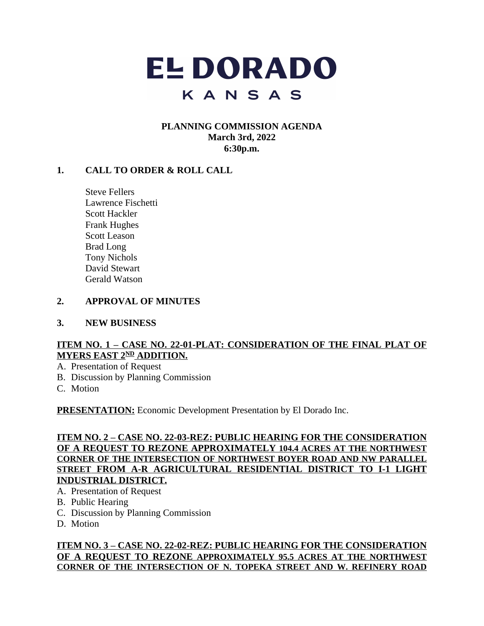

### **PLANNING COMMISSION AGENDA March 3rd, 2022 6:30p.m.**

## **1. CALL TO ORDER & ROLL CALL**

Steve Fellers Lawrence Fischetti Scott Hackler Frank Hughes Scott Leason Brad Long Tony Nichols David Stewart Gerald Watson

#### **2. APPROVAL OF MINUTES**

#### **3. NEW BUSINESS**

### **ITEM NO. 1 – CASE NO. 22-01-PLAT: CONSIDERATION OF THE FINAL PLAT OF MYERS EAST 2ND ADDITION.**

- A. Presentation of Request
- B. Discussion by Planning Commission
- C. Motion

**PRESENTATION:** Economic Development Presentation by El Dorado Inc.

### **ITEM NO. 2 – CASE NO. 22-03-REZ: PUBLIC HEARING FOR THE CONSIDERATION OF A REQUEST TO REZONE APPROXIMATELY 104.4 ACRES AT THE NORTHWEST CORNER OF THE INTERSECTION OF NORTHWEST BOYER ROAD AND NW PARALLEL STREET FROM A-R AGRICULTURAL RESIDENTIAL DISTRICT TO I-1 LIGHT INDUSTRIAL DISTRICT.**

- A. Presentation of Request
- B. Public Hearing
- C. Discussion by Planning Commission
- D. Motion

#### **ITEM NO. 3 – CASE NO. 22-02-REZ: PUBLIC HEARING FOR THE CONSIDERATION OF A REQUEST TO REZONE APPROXIMATELY 95.5 ACRES AT THE NORTHWEST CORNER OF THE INTERSECTION OF N. TOPEKA STREET AND W. REFINERY ROAD**